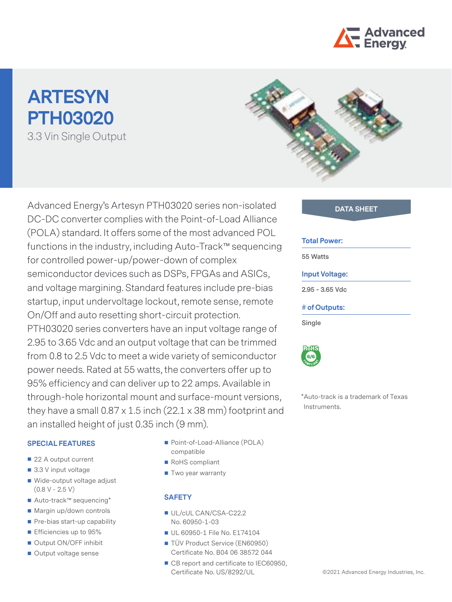

# **ARTESYN PTH03020** 3.3 Vin Single Output



Advanced Energy's Artesyn PTH03020 series non-isolated **DATA SHEET** DC-DC converter complies with the Point-of-Load Alliance (POLA) standard. It offers some of the most advanced POL functions in the industry, including Auto-Track™ sequencing for controlled power-up/power-down of complex semiconductor devices such as DSPs, FPGAs and ASICs, and voltage margining. Standard features include pre-bias startup, input undervoltage lockout, remote sense, remote On/Off and auto resetting short-circuit protection. PTH03020 series converters have an input voltage range of 2.95 to 3.65 Vdc and an output voltage that can be trimmed from 0.8 to 2.5 Vdc to meet a wide variety of semiconductor power needs. Rated at 55 watts, the converters offer up to 95% efficiency and can deliver up to 22 amps. Available in through-hole horizontal mount and surface-mount versions, they have a small 0.87 x 1.5 inch (22.1 x 38 mm) footprint and

**SPECIAL FEATURES**

an installed height of just 0.35 inch (9 mm).

- 
- 22 A output current
- 3.3 V input voltage
- Wide-output voltage adjust  $(0.8 V - 2.5 V)$
- Auto-track™ sequencing\*
- Margin up/down controls
- Pre-bias start-up capability
- **Efficiencies up to 95%**
- Output ON/OFF inhibit
- Output voltage sense
- Point-of-Load-Alliance (POLA) compatible
- RoHS compliant
- Two year warranty

#### **SAFETY**

- UL/cUL CAN/CSA-C22.2 No. 60950-1-03
- UL 60950-1 File No. E174104
- TÜV Product Service (EN60950) Certificate No. B04 06 38572 044
- CB report and certificate to IEC60950, Certificate No. US/8292/UL

#### **Total Power:**

**55 Watts**

#### **Input Voltage:**

**2.95 - 3.65 Vdc**

#### **# of Outputs:**

**Single**



\*Auto-track is a trademark of Texas Instruments.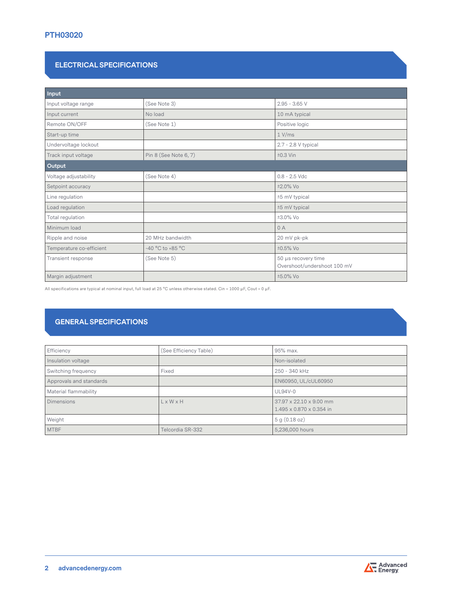## **PTH03020**

#### **ELECTRICAL SPECIFICATIONS**

| Input                    |                       |                                                    |
|--------------------------|-----------------------|----------------------------------------------------|
| Input voltage range      | (See Note 3)          | $2.95 - 3.65$ V                                    |
| Input current            | No load               | 10 mA typical                                      |
| Remote ON/OFF            | (See Note 1)          | Positive logic                                     |
| Start-up time            |                       | 1 V/ms                                             |
| Undervoltage lockout     |                       | 2.7 - 2.8 V typical                                |
| Track input voltage      | Pin 8 (See Note 6, 7) | $±0.3$ Vin                                         |
| Output                   |                       |                                                    |
| Voltage adjustability    | (See Note 4)          | $0.8 - 2.5$ Vdc                                    |
| Setpoint accuracy        |                       | ±2.0% Vo                                           |
| Line regulation          |                       | ±5 mV typical                                      |
| Load regulation          |                       | ±5 mV typical                                      |
| Total regulation         |                       | ±3.0% Vo                                           |
| Minimum load             |                       | 0A                                                 |
| Ripple and noise         | 20 MHz bandwidth      | 20 mV pk-pk                                        |
| Temperature co-efficient | -40 °C to +85 °C      | ±0.5% Vo                                           |
| Transient response       | (See Note 5)          | 50 µs recovery time<br>Overshoot/undershoot 100 mV |
| Margin adjustment        |                       | ±5.0% Vo                                           |

All specifications are typical at nominal input, full load at 25 °C unless otherwise stated. Cin = 1000 μF, Cout = 0 μF.

# **GENERAL SPECIFICATIONS**

| Efficiency              | (See Efficiency Table) | 95% max.                                            |
|-------------------------|------------------------|-----------------------------------------------------|
| Insulation voltage      |                        | Non-isolated                                        |
| Switching frequency     | Fixed                  | 250 - 340 kHz                                       |
| Approvals and standards |                        | EN60950, UL/cUL60950                                |
| Material flammability   |                        | <b>UL94V-0</b>                                      |
| <b>Dimensions</b>       | $L \times W \times H$  | 37.97 x 22.10 x 9.00 mm<br>1.495 x 0.870 x 0.354 in |
| Weight                  |                        | 5 g (0.18 oz)                                       |
| <b>MTBF</b>             | Telcordia SR-332       | 5,236,000 hours                                     |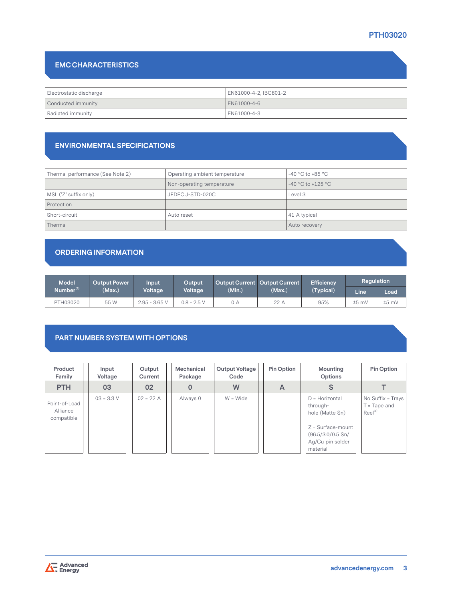# **PTH03020**

# **EMC CHARACTERISTICS**

| Electrostatic discharge | EN61000-4-2, IBC801-2 |
|-------------------------|-----------------------|
| Conducted immunity      | LEN61000-4-6          |
| Radiated immunity       | EN61000-4-3           |

#### **ENVIRONMENTAL SPECIFICATIONS**

| Thermal performance (See Note 2) | Operating ambient temperature | $-40\,^{\circ}\mathrm{C}$ to $+85\,^{\circ}\mathrm{C}$ |
|----------------------------------|-------------------------------|--------------------------------------------------------|
|                                  | Non-operating temperature     | $-40 °C$ to $+125 °C$                                  |
| MSL ('Z' suffix only)            | JEDEC J-STD-020C              | Level 3                                                |
| Protection                       |                               |                                                        |
| Short-circuit                    | Auto reset                    | 41 A typical                                           |
| Thermal                          |                               | Auto recovery                                          |

# **ORDERING INFORMATION**

| <b>Model</b>          | <b>Output Power</b> | Input                | Output        | Output Current   Output Current |        | <b>Efficiency</b> | <b>Regulation</b> |         |
|-----------------------|---------------------|----------------------|---------------|---------------------------------|--------|-------------------|-------------------|---------|
| Number <sup>(9)</sup> | (Max.)              | Voltage <sup>1</sup> | Voltage       | (Min.)                          | (Max.) | (Typical)         | Line              | Load    |
| PTH03020              | 55 W                | $2.95 - 3.65$ V      | $0.8 - 2.5$ V | 0 A                             | 22 A   | 95%               | $±5$ mV           | $±5$ mV |

#### **PART NUMBER SYSTEM WITH OPTIONS**

| Product<br>Family                       | Input<br>Voltage | Output<br>Current | Mechanical<br>Package | <b>Output Voltage</b><br>Code | <b>Pin Option</b> | Mounting<br>Options                                                                                                          | Pin Option                                                 |
|-----------------------------------------|------------------|-------------------|-----------------------|-------------------------------|-------------------|------------------------------------------------------------------------------------------------------------------------------|------------------------------------------------------------|
| <b>PTH</b>                              | 03               | 02                | 0                     | W                             | A                 | S                                                                                                                            |                                                            |
| Point-of-Load<br>Alliance<br>compatible | $03 = 3.3 V$     | $02 = 22 A$       | Always 0              | $W = Wide$                    |                   | $D =$ Horizontal<br>through-<br>hole (Matte Sn)<br>$Z = Surface$ -mount<br>(96.5/3.0/0.5 Sn/<br>Ag/Cu pin solder<br>material | No Suffix = Trays<br>$T = \text{Tape}$ and<br>$Reel^{(8)}$ |

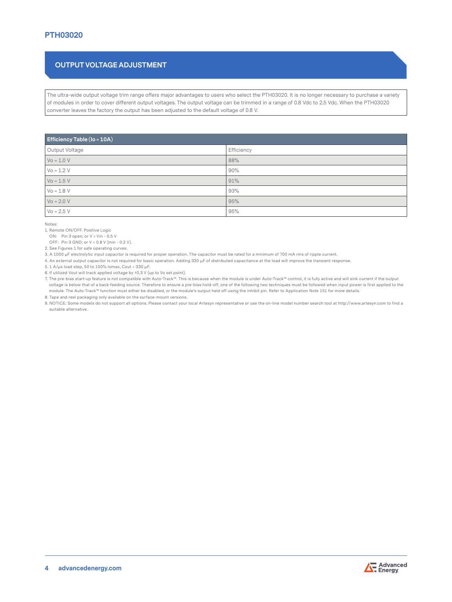# **OUTPUT VOLTAGE ADJUSTMENT**

The ultra-wide output voltage trim range offers major advantages to users who select the PTH03020. It is no longer necessary to purchase a variety of modules in order to cover different output voltages. The output voltage can be trimmed in a range of 0.8 Vdc to 2.5 Vdc. When the PTH03020 converter leaves the factory the output has been adjusted to the default voltage of 0.8 V.

| <b>Efficiency Table (Io = 10A)</b> |            |  |  |
|------------------------------------|------------|--|--|
| Output Voltage                     | Efficiency |  |  |
| $V_0 = 1.0 V$                      | 88%        |  |  |
| $V_0 = 1.2 V$                      | 90%        |  |  |
| $V_0 = 1.5 V$                      | 91%        |  |  |
| $Vo = 1.8 V$                       | 93%        |  |  |
| $V_0 = 2.0 V$                      | 95%        |  |  |
| $V_0 = 2.5 V$                      | 95%        |  |  |

Notes:

1. Remote ON/OFF. Positive Logic

ON: Pin 3 open; or V > Vin - 0.5 V

OFF: Pin 3 GND; or V < 0.8 V (min - 0.2 V).

2. See Figures 1 for safe operating curves.

3. A 1000 μF electrolytic input capacitor is required for proper operation. The capacitor must be rated for a minimum of 700 mA rms of ripple current.

4. An external output capacitor is not required for basic operation. Adding 330 μF of distributed capacitance at the load will improve the transient response.

5. 1 A/μs load step, 50 to 100% Iomax, Cout = 330 μF.

6. If utilized Vout will track applied voltage by ±0.3 V (up to Vo set point).

7. The pre-bias start-up feature is not compatible with Auto-Track™. This is because when the module is under Auto-Track™ control, it is fully active and will sink current if the output voltage is below that of a back-feeding source. Therefore to ensure a pre-bias hold-off, one of the following two techniques must be followed when input power is first applied to the module. The Auto-Track™ function must either be disabled, or the module's output held off using the Inhibit pin. Refer to Application Note 151 for more details. 8. Tape and reel packaging only available on the surface-mount versions.

9. NOTICE: Some models do not support all options. Please contact your local Artesyn representative or use the on-line model number search tool at http://www.artesyn.com to find a suitable alternative.

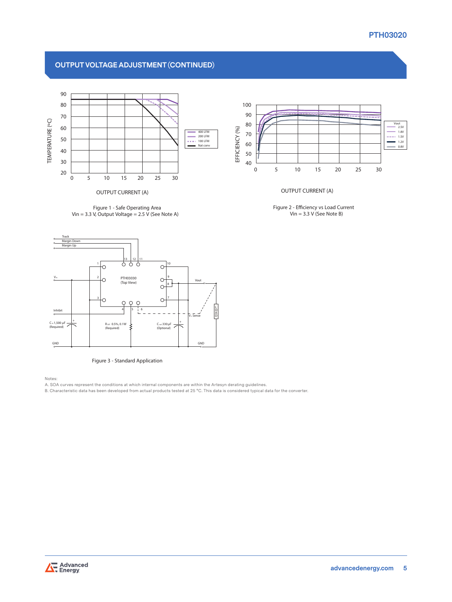#### **PTH03020**

#### **OUTPUT VOLTAGE ADJUSTMENT (CONTINUED)**



**Figure 1 - Safe Operating Area**





**Figure 3 - Standard Application**

Notes:

A. SOA curves represent the conditions at which internal components are within the Artesyn derating guidelines.

B. Characteristic data has been developed from actual products tested at 25 °C. This data is considered typical data for the converter.



**OUTPUT CURRENT (A)**

**Figure 2 - Eciency vs Load Current Vin = 3.3 V (See Note B)**

 $\sum$  Advanced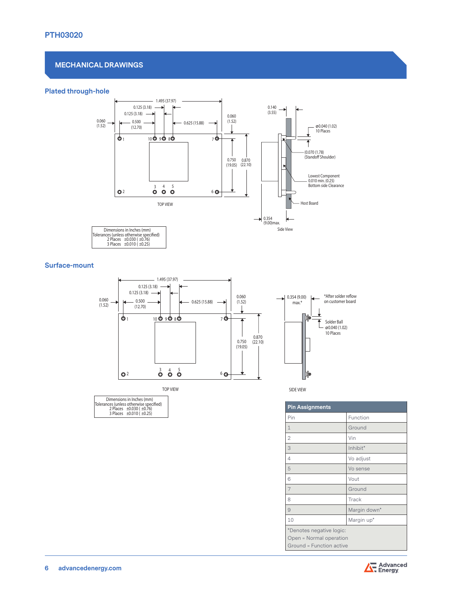#### **MECHANICAL DRAWINGS**

#### **Plated through-hole** 0.060



#### **Surface-mount**



TOP VIEW

| Dimensions in Inches (mm)<br>Tolerances (unless otherwise specified)<br>2 Places ±0.030 (±0.76)<br>3 Places ±0.010 (±0.25) |  |  |
|----------------------------------------------------------------------------------------------------------------------------|--|--|
|----------------------------------------------------------------------------------------------------------------------------|--|--|

| SIDE VIEW |  |
|-----------|--|

| <b>Pin Assignments</b>                              |
|-----------------------------------------------------|
| Pin<br>Function                                     |
| Ground<br>$\mathbf 1$                               |
| $\overline{2}$<br>Vin                               |
| Inhibit*<br>3                                       |
| Vo adjust<br>$\overline{4}$                         |
| 5<br>Vo sense                                       |
| Vout<br>6                                           |
| 7<br>Ground                                         |
| Track<br>8                                          |
| Margin down*<br>$\overline{9}$                      |
| Margin up*<br>10                                    |
| *Denotes negative logic:<br>Open = Normal operation |
| Ground = Function active                            |